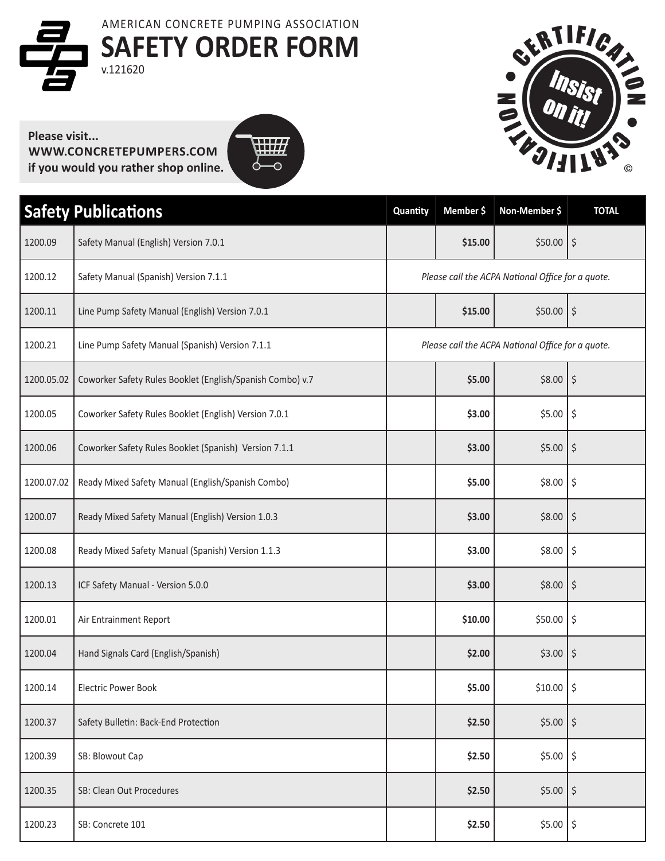**SAFETY ORDER FORM** v.121620 AMERICAN CONCRETE PUMPING ASSOCIATION





**WWW.CONCRETEPUMPERS.COM if you would you rather shop online.**



| <b>Safety Publications</b> |                                                           | Quantity                                          | Member \$ | Non-Member \$                                     | <b>TOTAL</b>         |
|----------------------------|-----------------------------------------------------------|---------------------------------------------------|-----------|---------------------------------------------------|----------------------|
| 1200.09                    | Safety Manual (English) Version 7.0.1                     |                                                   | \$15.00   | $$50.00$   \$                                     |                      |
| 1200.12                    | Safety Manual (Spanish) Version 7.1.1                     |                                                   |           | Please call the ACPA National Office for a quote. |                      |
| 1200.11                    | Line Pump Safety Manual (English) Version 7.0.1           |                                                   | \$15.00   | \$50.00                                           | \$                   |
| 1200.21                    | Line Pump Safety Manual (Spanish) Version 7.1.1           | Please call the ACPA National Office for a quote. |           |                                                   |                      |
| 1200.05.02                 | Coworker Safety Rules Booklet (English/Spanish Combo) v.7 |                                                   | \$5.00    | \$8.00                                            | \$                   |
| 1200.05                    | Coworker Safety Rules Booklet (English) Version 7.0.1     |                                                   | \$3.00    | \$5.00                                            | \$                   |
| 1200.06                    | Coworker Safety Rules Booklet (Spanish) Version 7.1.1     |                                                   | \$3.00    | \$5.00                                            | \$                   |
| 1200.07.02                 | Ready Mixed Safety Manual (English/Spanish Combo)         |                                                   | \$5.00    | \$8.00                                            | \$                   |
| 1200.07                    | Ready Mixed Safety Manual (English) Version 1.0.3         |                                                   | \$3.00    | \$8.00                                            | \$                   |
| 1200.08                    | Ready Mixed Safety Manual (Spanish) Version 1.1.3         |                                                   | \$3.00    | \$8.00                                            | \$                   |
| 1200.13                    | ICF Safety Manual - Version 5.0.0                         |                                                   | \$3.00    | \$8.00                                            | \$                   |
| 1200.01                    | Air Entrainment Report                                    |                                                   | \$10.00   | \$50.00                                           | \$                   |
| 1200.04                    | Hand Signals Card (English/Spanish)                       |                                                   | \$2.00    | \$3.00                                            | \$                   |
| 1200.14                    | <b>Electric Power Book</b>                                |                                                   | \$5.00    | $$10.00$   \$                                     |                      |
| 1200.37                    | Safety Bulletin: Back-End Protection                      |                                                   | \$2.50    | \$5.00                                            | $\boldsymbol{\zeta}$ |
| 1200.39                    | SB: Blowout Cap                                           |                                                   | \$2.50    | $$5.00$ $$$                                       |                      |
| 1200.35                    | SB: Clean Out Procedures                                  |                                                   | \$2.50    | $$5.00$   \$                                      |                      |
| 1200.23                    | SB: Concrete 101                                          |                                                   | \$2.50    | $$5.00$   \$                                      |                      |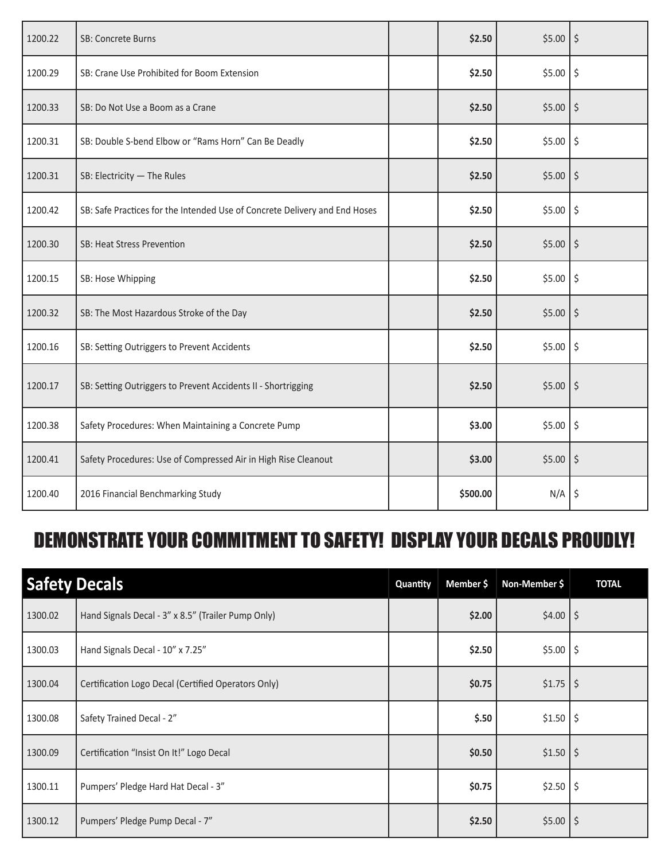| 1200.22 | <b>SB: Concrete Burns</b>                                                  | \$2.50   | $$5.00$ $$$           |         |
|---------|----------------------------------------------------------------------------|----------|-----------------------|---------|
| 1200.29 | SB: Crane Use Prohibited for Boom Extension                                | \$2.50   | $$5.00$ $$$           |         |
| 1200.33 | SB: Do Not Use a Boom as a Crane                                           | \$2.50   | $$5.00$   \$          |         |
| 1200.31 | SB: Double S-bend Elbow or "Rams Horn" Can Be Deadly                       | \$2.50   | \$5.00                | \$      |
| 1200.31 | SB: Electricity - The Rules                                                | \$2.50   | $$5.00$ $$$           |         |
| 1200.42 | SB: Safe Practices for the Intended Use of Concrete Delivery and End Hoses | \$2.50   | $$5.00$ $$$           |         |
| 1200.30 | SB: Heat Stress Prevention                                                 | \$2.50   | $$5.00$ $$$           |         |
| 1200.15 | SB: Hose Whipping                                                          | \$2.50   | $$5.00$ $\frac{1}{5}$ |         |
| 1200.32 | SB: The Most Hazardous Stroke of the Day                                   | \$2.50   | \$5.00                | \$      |
| 1200.16 | SB: Setting Outriggers to Prevent Accidents                                | \$2.50   | $$5.00$ $$$           |         |
| 1200.17 | SB: Setting Outriggers to Prevent Accidents II - Shortrigging              | \$2.50   | $$5.00$   \$          |         |
| 1200.38 | Safety Procedures: When Maintaining a Concrete Pump                        | \$3.00   | $$5.00$ $$$           |         |
| 1200.41 | Safety Procedures: Use of Compressed Air in High Rise Cleanout             | \$3.00   | \$5.00                | $\zeta$ |
| 1200.40 | 2016 Financial Benchmarking Study                                          | \$500.00 | $N/A$ $\frac{1}{5}$   |         |

## DEMONSTRATE YOUR COMMITMENT TO SAFETY! DISPLAY YOUR DECALS PROUDLY!

| <b>Safety Decals</b> |                                                     | Quantity | Member \$ | Non-Member \$ | <b>TOTAL</b> |
|----------------------|-----------------------------------------------------|----------|-----------|---------------|--------------|
| 1300.02              | Hand Signals Decal - 3" x 8.5" (Trailer Pump Only)  |          | \$2.00    | $$4.00$   \$  |              |
| 1300.03              | Hand Signals Decal - 10" x 7.25"                    |          | \$2.50    | $$5.00$ $$$   |              |
| 1300.04              | Certification Logo Decal (Certified Operators Only) |          | \$0.75    | $$1.75$   \$  |              |
| 1300.08              | Safety Trained Decal - 2"                           |          | \$.50     | $$1.50$ $$$   |              |
| 1300.09              | Certification "Insist On It!" Logo Decal            |          | \$0.50    | $$1.50$   \$  |              |
| 1300.11              | Pumpers' Pledge Hard Hat Decal - 3"                 |          | \$0.75    | $$2.50$ $$$   |              |
| 1300.12              | Pumpers' Pledge Pump Decal - 7"                     |          | \$2.50    | $$5.00$ $$$   |              |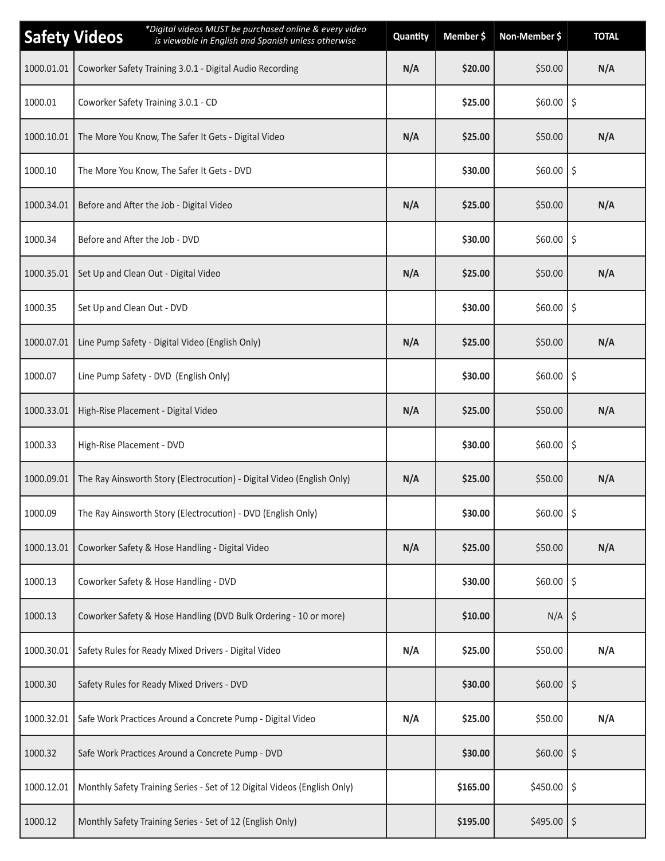|            | *Digital videos MUST be purchased online & every video<br><b>Safety Videos</b><br>is viewable in English and Spanish unless otherwise | Quantity | Member \$ | Non-Member \$       | <b>TOTAL</b> |
|------------|---------------------------------------------------------------------------------------------------------------------------------------|----------|-----------|---------------------|--------------|
| 1000.01.01 | Coworker Safety Training 3.0.1 - Digital Audio Recording                                                                              | N/A      | \$20.00   | \$50.00             | N/A          |
| 1000.01    | Coworker Safety Training 3.0.1 - CD                                                                                                   |          | \$25.00   | $$60.00$ $$$        |              |
| 1000.10.01 | The More You Know, The Safer It Gets - Digital Video                                                                                  | N/A      | \$25.00   | \$50.00             | N/A          |
| 1000.10    | The More You Know, The Safer It Gets - DVD                                                                                            |          | \$30.00   | $$60.00$ $$$        |              |
| 1000.34.01 | Before and After the Job - Digital Video                                                                                              | N/A      | \$25.00   | \$50.00             | N/A          |
| 1000.34    | Before and After the Job - DVD                                                                                                        |          | \$30.00   | $$60.00$   \$       |              |
| 1000.35.01 | Set Up and Clean Out - Digital Video                                                                                                  | N/A      | \$25.00   | \$50.00             | N/A          |
| 1000.35    | Set Up and Clean Out - DVD                                                                                                            |          | \$30.00   | \$60.00             | \$           |
| 1000.07.01 | Line Pump Safety - Digital Video (English Only)                                                                                       | N/A      | \$25.00   | \$50.00             | N/A          |
| 1000.07    | Line Pump Safety - DVD (English Only)                                                                                                 |          | \$30.00   | $$60.00$ $$$        |              |
| 1000.33.01 | High-Rise Placement - Digital Video                                                                                                   | N/A      | \$25.00   | \$50.00             | N/A          |
| 1000.33    | High-Rise Placement - DVD                                                                                                             |          | \$30.00   | $$60.00$ $$$        |              |
| 1000.09.01 | The Ray Ainsworth Story (Electrocution) - Digital Video (English Only)                                                                | N/A      | \$25.00   | \$50.00             | N/A          |
| 1000.09    | The Ray Ainsworth Story (Electrocution) - DVD (English Only)                                                                          |          | \$30.00   | $$60.00$ $$$        |              |
| 1000.13.01 | Coworker Safety & Hose Handling - Digital Video                                                                                       | N/A      | \$25.00   | \$50.00             | N/A          |
| 1000.13    | Coworker Safety & Hose Handling - DVD                                                                                                 |          | \$30.00   | $$60.00$ $$$        |              |
| 1000.13    | Coworker Safety & Hose Handling (DVD Bulk Ordering - 10 or more)                                                                      |          | \$10.00   | $N/A$ $\frac{1}{5}$ |              |
| 1000.30.01 | Safety Rules for Ready Mixed Drivers - Digital Video                                                                                  | N/A      | \$25.00   | \$50.00             | N/A          |
| 1000.30    | Safety Rules for Ready Mixed Drivers - DVD                                                                                            |          | \$30.00   | $$60.00$ $$$        |              |
| 1000.32.01 | Safe Work Practices Around a Concrete Pump - Digital Video                                                                            | N/A      | \$25.00   | \$50.00             | N/A          |
| 1000.32    | Safe Work Practices Around a Concrete Pump - DVD                                                                                      |          | \$30.00   | $$60.00$ $$$        |              |
| 1000.12.01 | Monthly Safety Training Series - Set of 12 Digital Videos (English Only)                                                              |          | \$165.00  | $$450.00$   \$      |              |
| 1000.12    | Monthly Safety Training Series - Set of 12 (English Only)                                                                             |          | \$195.00  | $$495.00$ $$$       |              |